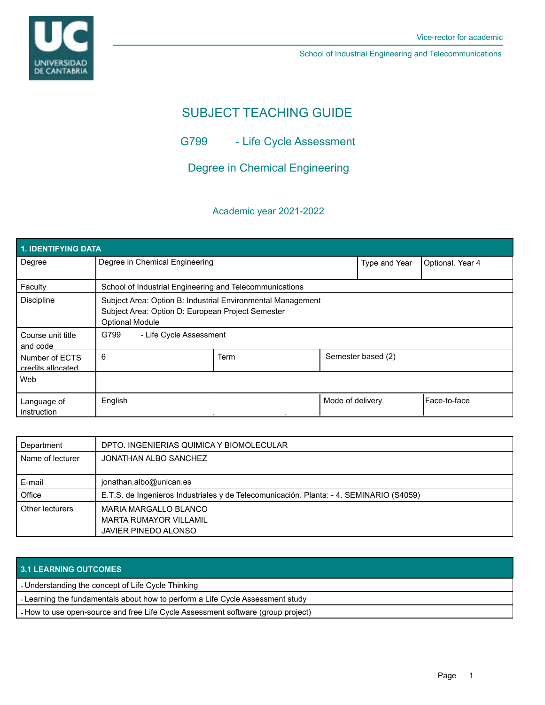

School of Industrial Engineering and Telecommunications

# SUBJECT TEACHING GUIDE

G799 - Life Cycle Assessment

Degree in Chemical Engineering

## Academic year 2021-2022

| 1. IDENTIFYING DATA                 |                                                                                                                                            |             |                    |                  |                |  |  |  |
|-------------------------------------|--------------------------------------------------------------------------------------------------------------------------------------------|-------------|--------------------|------------------|----------------|--|--|--|
| Degree                              | Degree in Chemical Engineering                                                                                                             |             | Type and Year      | Optional. Year 4 |                |  |  |  |
| Faculty                             | School of Industrial Engineering and Telecommunications                                                                                    |             |                    |                  |                |  |  |  |
| Discipline                          | Subject Area: Option B: Industrial Environmental Management<br>Subject Area: Option D: European Project Semester<br><b>Optional Module</b> |             |                    |                  |                |  |  |  |
| Course unit title<br>and code       | G799<br>- Life Cycle Assessment                                                                                                            |             |                    |                  |                |  |  |  |
| Number of ECTS<br>credits allocated | 6                                                                                                                                          | <b>Term</b> | Semester based (2) |                  |                |  |  |  |
| Web                                 |                                                                                                                                            |             |                    |                  |                |  |  |  |
| Language of<br>instruction          | English                                                                                                                                    |             | Mode of delivery   |                  | l Face-to-face |  |  |  |

| Department       | DPTO. INGENIERIAS QUIMICA Y BIOMOLECULAR                                                |
|------------------|-----------------------------------------------------------------------------------------|
| Name of lecturer | JONATHAN ALBO SANCHEZ                                                                   |
|                  |                                                                                         |
| E-mail           | jonathan.albo@unican.es                                                                 |
| Office           | E.T.S. de Ingenieros Industriales y de Telecomunicación. Planta: - 4. SEMINARIO (S4059) |
| Other lecturers  | MARIA MARGALLO BLANCO                                                                   |
|                  | <b>MARTA RUMAYOR VILLAMIL</b>                                                           |
|                  | JAVIER PINEDO ALONSO                                                                    |

### **3.1 LEARNING OUTCOMES**

- Understanding the concept of Life Cycle Thinking

- Learning the fundamentals about how to perform a Life Cycle Assessment study

- How to use open-source and free Life Cycle Assessment software (group project)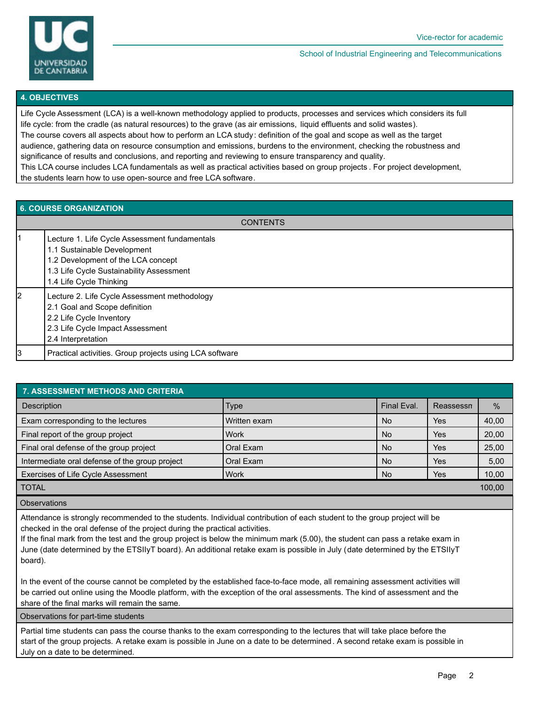

#### School of Industrial Engineering and Telecommunications

#### **4. OBJECTIVES**

Life Cycle Assessment (LCA) is a well-known methodology applied to products, processes and services which considers its full life cycle: from the cradle (as natural resources) to the grave (as air emissions, liquid effluents and solid wastes). The course covers all aspects about how to perform an LCA study: definition of the goal and scope as well as the target audience, gathering data on resource consumption and emissions, burdens to the environment, checking the robustness and significance of results and conclusions, and reporting and reviewing to ensure transparency and quality. This LCA course includes LCA fundamentals as well as practical activities based on group projects . For project development, the students learn how to use open-source and free LCA software.

| <b>6. COURSE ORGANIZATION</b> |                                                                                                                                                                                           |  |
|-------------------------------|-------------------------------------------------------------------------------------------------------------------------------------------------------------------------------------------|--|
|                               | <b>CONTENTS</b>                                                                                                                                                                           |  |
| 11                            | Lecture 1. Life Cycle Assessment fundamentals<br>1.1 Sustainable Development<br>1.2 Development of the LCA concept<br>1.3 Life Cycle Sustainability Assessment<br>1.4 Life Cycle Thinking |  |
| l2                            | Lecture 2. Life Cycle Assessment methodology<br>2.1 Goal and Scope definition<br>2.2 Life Cycle Inventory<br>2.3 Life Cycle Impact Assessment<br>2.4 Interpretation                       |  |
| 13                            | Practical activities. Group projects using LCA software                                                                                                                                   |  |

| <b>7. ASSESSMENT METHODS AND CRITERIA</b>      |              |             |            |               |  |  |
|------------------------------------------------|--------------|-------------|------------|---------------|--|--|
| Description                                    | <b>Type</b>  | Final Eval. | Reassessn  | $\frac{0}{0}$ |  |  |
| Exam corresponding to the lectures             | Written exam | <b>No</b>   | Yes        | 40,00         |  |  |
| Final report of the group project              | Work         | <b>No</b>   | Yes        | 20,00         |  |  |
| Final oral defense of the group project        | Oral Exam    | <b>No</b>   | <b>Yes</b> | 25,00         |  |  |
| Intermediate oral defense of the group project | l Oral Exam  | <b>No</b>   | Yes        | 5,00          |  |  |
| Exercises of Life Cycle Assessment             | <b>Work</b>  | <b>No</b>   | Yes        | 10,00         |  |  |
| <b>TOTAL</b>                                   |              |             |            | 100,00        |  |  |
| <b>Observations</b>                            |              |             |            |               |  |  |

Attendance is strongly recommended to the students. Individual contribution of each student to the group project will be checked in the oral defense of the project during the practical activities.

If the final mark from the test and the group project is below the minimum mark (5.00), the student can pass a retake exam in June (date determined by the ETSIIyT board). An additional retake exam is possible in July (date determined by the ETSIIyT board).

In the event of the course cannot be completed by the established face-to-face mode, all remaining assessment activities will be carried out online using the Moodle platform, with the exception of the oral assessments. The kind of assessment and the share of the final marks will remain the same.

Observations for part-time students

Partial time students can pass the course thanks to the exam corresponding to the lectures that will take place before the start of the group projects. A retake exam is possible in June on a date to be determined. A second retake exam is possible in July on a date to be determined.